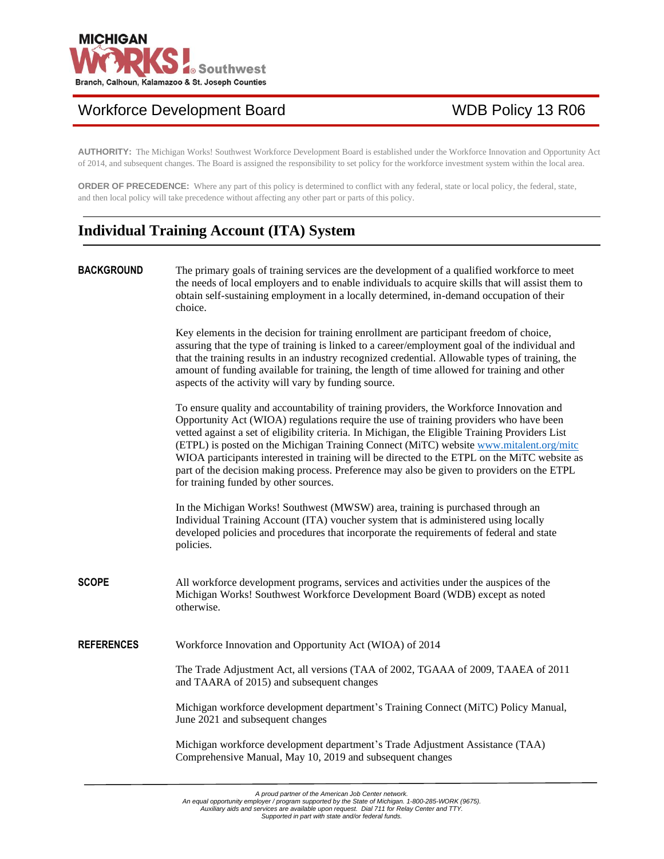

# Workforce Development Board WDB Policy 13 R06

**AUTHORITY:** The Michigan Works! Southwest Workforce Development Board is established under the Workforce Innovation and Opportunity Act of 2014, and subsequent changes. The Board is assigned the responsibility to set policy for the workforce investment system within the local area.

**ORDER OF PRECEDENCE:** Where any part of this policy is determined to conflict with any federal, state or local policy, the federal, state, and then local policy will take precedence without affecting any other part or parts of this policy.

# **Individual Training Account (ITA) System**

**BACKGROUND** The primary goals of training services are the development of a qualified workforce to meet the needs of local employers and to enable individuals to acquire skills that will assist them to obtain self-sustaining employment in a locally determined, in-demand occupation of their choice.

> Key elements in the decision for training enrollment are participant freedom of choice, assuring that the type of training is linked to a career/employment goal of the individual and that the training results in an industry recognized credential. Allowable types of training, the amount of funding available for training, the length of time allowed for training and other aspects of the activity will vary by funding source.

To ensure quality and accountability of training providers, the Workforce Innovation and Opportunity Act (WIOA) regulations require the use of training providers who have been vetted against a set of eligibility criteria. In Michigan, the Eligible Training Providers List (ETPL) is posted on the Michigan Training Connect (MiTC) website [www.mitalent.org/mitc](http://www.mitalent.org/mitc) WIOA participants interested in training will be directed to the ETPL on the MiTC website as part of the decision making process. Preference may also be given to providers on the ETPL for training funded by other sources.

In the Michigan Works! Southwest (MWSW) area, training is purchased through an Individual Training Account (ITA) voucher system that is administered using locally developed policies and procedures that incorporate the requirements of federal and state policies.

**SCOPE** All workforce development programs, services and activities under the auspices of the Michigan Works! Southwest Workforce Development Board (WDB) except as noted otherwise.

**REFERENCES** Workforce Innovation and Opportunity Act (WIOA) of 2014

The Trade Adjustment Act, all versions (TAA of 2002, TGAAA of 2009, TAAEA of 2011 and TAARA of 2015) and subsequent changes

Michigan workforce development department's Training Connect (MiTC) Policy Manual, June 2021 and subsequent changes

Michigan workforce development department's Trade Adjustment Assistance (TAA) Comprehensive Manual, May 10, 2019 and subsequent changes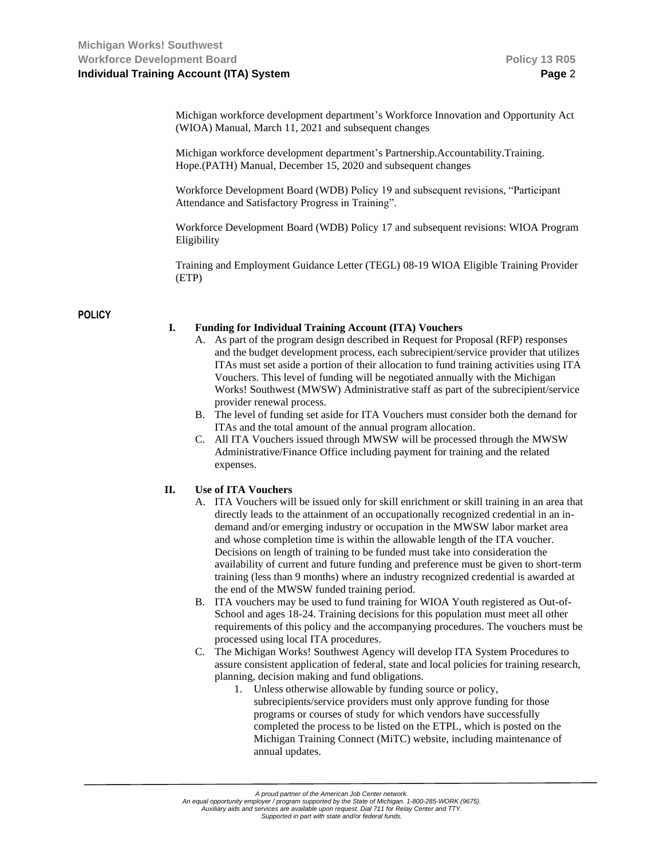Michigan workforce development department's Workforce Innovation and Opportunity Act (WIOA) Manual, March 11, 2021 and subsequent changes

Michigan workforce development department's Partnership.Accountability.Training. Hope.(PATH) Manual, December 15, 2020 and subsequent changes

Workforce Development Board (WDB) Policy 19 and subsequent revisions, "Participant Attendance and Satisfactory Progress in Training".

Workforce Development Board (WDB) Policy 17 and subsequent revisions: WIOA Program Eligibility

Training and Employment Guidance Letter (TEGL) 08-19 WIOA Eligible Training Provider (ETP)

## **POLICY**

### **I. Funding for Individual Training Account (ITA) Vouchers**

- A. As part of the program design described in Request for Proposal (RFP) responses and the budget development process, each subrecipient/service provider that utilizes ITAs must set aside a portion of their allocation to fund training activities using ITA Vouchers. This level of funding will be negotiated annually with the Michigan Works! Southwest (MWSW) Administrative staff as part of the subrecipient/service provider renewal process.
- B. The level of funding set aside for ITA Vouchers must consider both the demand for ITAs and the total amount of the annual program allocation.
- C. All ITA Vouchers issued through MWSW will be processed through the MWSW Administrative/Finance Office including payment for training and the related expenses.

#### **II. Use of ITA Vouchers**

- A. ITA Vouchers will be issued only for skill enrichment or skill training in an area that directly leads to the attainment of an occupationally recognized credential in an indemand and/or emerging industry or occupation in the MWSW labor market area and whose completion time is within the allowable length of the ITA voucher. Decisions on length of training to be funded must take into consideration the availability of current and future funding and preference must be given to short-term training (less than 9 months) where an industry recognized credential is awarded at the end of the MWSW funded training period.
- B. ITA vouchers may be used to fund training for WIOA Youth registered as Out-of-School and ages 18-24. Training decisions for this population must meet all other requirements of this policy and the accompanying procedures. The vouchers must be processed using local ITA procedures.
- C. The Michigan Works! Southwest Agency will develop ITA System Procedures to assure consistent application of federal, state and local policies for training research, planning, decision making and fund obligations.
	- 1. Unless otherwise allowable by funding source or policy, subrecipients/service providers must only approve funding for those programs or courses of study for which vendors have successfully completed the process to be listed on the ETPL, which is posted on the Michigan Training Connect (MiTC) website, including maintenance of annual updates.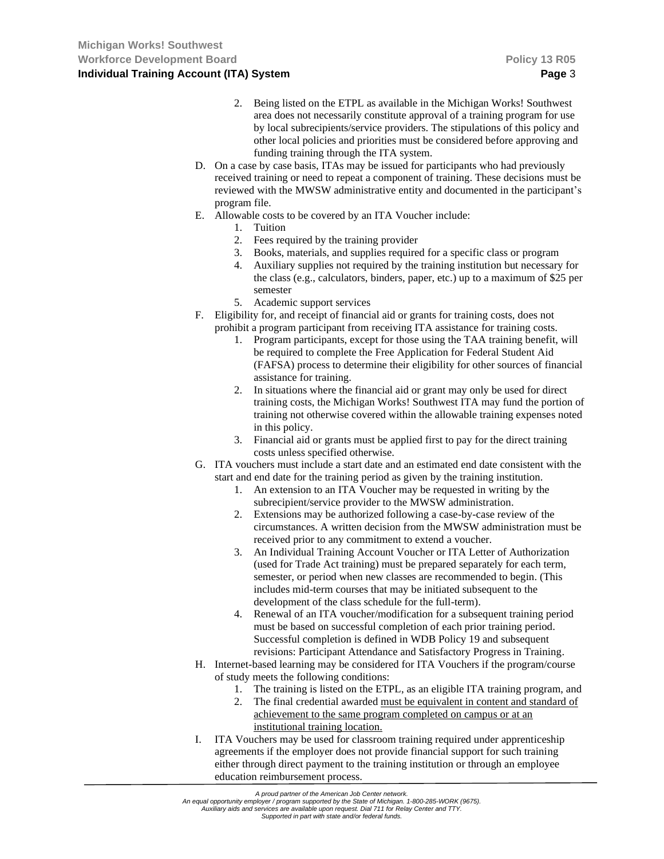- 2. Being listed on the ETPL as available in the Michigan Works! Southwest area does not necessarily constitute approval of a training program for use by local subrecipients/service providers. The stipulations of this policy and other local policies and priorities must be considered before approving and funding training through the ITA system.
- D. On a case by case basis, ITAs may be issued for participants who had previously received training or need to repeat a component of training. These decisions must be reviewed with the MWSW administrative entity and documented in the participant's program file.
- E. Allowable costs to be covered by an ITA Voucher include:
	- 1. Tuition
	- 2. Fees required by the training provider
	- 3. Books, materials, and supplies required for a specific class or program
	- 4. Auxiliary supplies not required by the training institution but necessary for the class (e.g., calculators, binders, paper, etc.) up to a maximum of \$25 per semester
	- 5. Academic support services
- F. Eligibility for, and receipt of financial aid or grants for training costs, does not prohibit a program participant from receiving ITA assistance for training costs.
	- 1. Program participants, except for those using the TAA training benefit, will be required to complete the Free Application for Federal Student Aid (FAFSA) process to determine their eligibility for other sources of financial assistance for training.
	- 2. In situations where the financial aid or grant may only be used for direct training costs, the Michigan Works! Southwest ITA may fund the portion of training not otherwise covered within the allowable training expenses noted in this policy.
	- 3. Financial aid or grants must be applied first to pay for the direct training costs unless specified otherwise.
- G. ITA vouchers must include a start date and an estimated end date consistent with the start and end date for the training period as given by the training institution.
	- 1. An extension to an ITA Voucher may be requested in writing by the subrecipient/service provider to the MWSW administration.
	- 2. Extensions may be authorized following a case-by-case review of the circumstances. A written decision from the MWSW administration must be received prior to any commitment to extend a voucher.
	- 3. An Individual Training Account Voucher or ITA Letter of Authorization (used for Trade Act training) must be prepared separately for each term, semester, or period when new classes are recommended to begin. (This includes mid-term courses that may be initiated subsequent to the development of the class schedule for the full-term).
	- 4. Renewal of an ITA voucher/modification for a subsequent training period must be based on successful completion of each prior training period. Successful completion is defined in WDB Policy 19 and subsequent revisions: Participant Attendance and Satisfactory Progress in Training.
- H. Internet-based learning may be considered for ITA Vouchers if the program/course of study meets the following conditions:
	- 1. The training is listed on the ETPL, as an eligible ITA training program, and
	- 2. The final credential awarded must be equivalent in content and standard of achievement to the same program completed on campus or at an institutional training location.
- I. ITA Vouchers may be used for classroom training required under apprenticeship agreements if the employer does not provide financial support for such training either through direct payment to the training institution or through an employee education reimbursement process.

*A proud partner of the American Job Center network.*

An equal opportunity employer / program supported by the State of Michigan. 1-800-285-WORK (9675).<br>Auxiliary aids and services are available upon request. Dial 711 for Relay Center and TTY.

*Supported in part with state and/or federal funds.*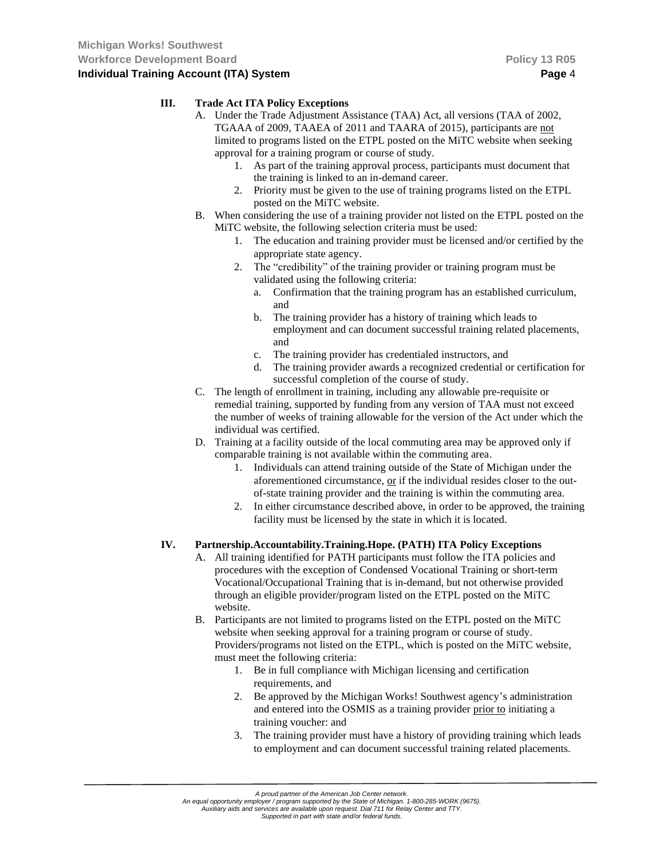### **III. Trade Act ITA Policy Exceptions**

- A. Under the Trade Adjustment Assistance (TAA) Act, all versions (TAA of 2002, TGAAA of 2009, TAAEA of 2011 and TAARA of 2015), participants are not limited to programs listed on the ETPL posted on the MiTC website when seeking approval for a training program or course of study.
	- 1. As part of the training approval process, participants must document that the training is linked to an in-demand career.
	- 2. Priority must be given to the use of training programs listed on the ETPL posted on the MiTC website.
- B. When considering the use of a training provider not listed on the ETPL posted on the MiTC website, the following selection criteria must be used:
	- 1. The education and training provider must be licensed and/or certified by the appropriate state agency.
	- 2. The "credibility" of the training provider or training program must be validated using the following criteria:
		- a. Confirmation that the training program has an established curriculum, and
		- b. The training provider has a history of training which leads to employment and can document successful training related placements, and
		- c. The training provider has credentialed instructors, and
		- d. The training provider awards a recognized credential or certification for successful completion of the course of study.
- C. The length of enrollment in training, including any allowable pre-requisite or remedial training, supported by funding from any version of TAA must not exceed the number of weeks of training allowable for the version of the Act under which the individual was certified.
- D. Training at a facility outside of the local commuting area may be approved only if comparable training is not available within the commuting area.
	- 1. Individuals can attend training outside of the State of Michigan under the aforementioned circumstance, or if the individual resides closer to the outof-state training provider and the training is within the commuting area.
	- 2. In either circumstance described above, in order to be approved, the training facility must be licensed by the state in which it is located.

# **IV. Partnership.Accountability.Training.Hope. (PATH) ITA Policy Exceptions**

- A. All training identified for PATH participants must follow the ITA policies and procedures with the exception of Condensed Vocational Training or short-term Vocational/Occupational Training that is in-demand, but not otherwise provided through an eligible provider/program listed on the ETPL posted on the MiTC website.
- B. Participants are not limited to programs listed on the ETPL posted on the MiTC website when seeking approval for a training program or course of study. Providers/programs not listed on the ETPL, which is posted on the MiTC website, must meet the following criteria:
	- 1. Be in full compliance with Michigan licensing and certification requirements, and
	- 2. Be approved by the Michigan Works! Southwest agency's administration and entered into the OSMIS as a training provider prior to initiating a training voucher: and
	- 3. The training provider must have a history of providing training which leads to employment and can document successful training related placements.

*An equal opportunity employer / program supported by the State of Michigan. 1-800-285-WORK (9675). Auxiliary aids and services are available upon request. Dial 711 for Relay Center and TTY.*

*Supported in part with state and/or federal funds.*

*A proud partner of the American Job Center network.*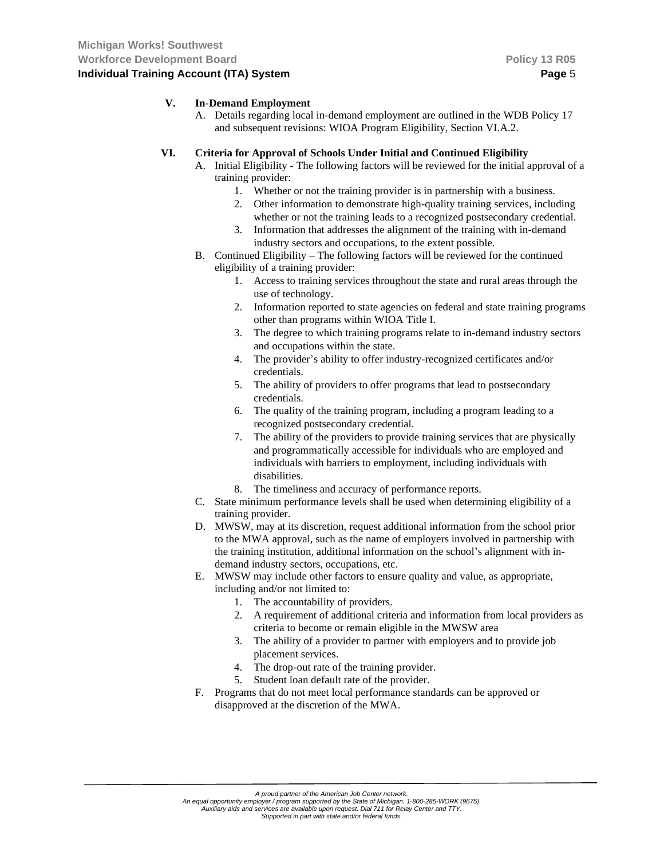## **V. In-Demand Employment**

A. Details regarding local in-demand employment are outlined in the WDB Policy 17 and subsequent revisions: WIOA Program Eligibility, Section VI.A.2.

### **VI. Criteria for Approval of Schools Under Initial and Continued Eligibility**

- A. Initial Eligibility The following factors will be reviewed for the initial approval of a training provider:
	- 1. Whether or not the training provider is in partnership with a business.
	- 2. Other information to demonstrate high-quality training services, including whether or not the training leads to a recognized postsecondary credential.
	- 3. Information that addresses the alignment of the training with in-demand industry sectors and occupations, to the extent possible.
- B. Continued Eligibility The following factors will be reviewed for the continued eligibility of a training provider:
	- 1. Access to training services throughout the state and rural areas through the use of technology.
	- 2. Information reported to state agencies on federal and state training programs other than programs within WIOA Title I.
	- 3. The degree to which training programs relate to in-demand industry sectors and occupations within the state.
	- 4. The provider's ability to offer industry-recognized certificates and/or credentials.
	- 5. The ability of providers to offer programs that lead to postsecondary credentials.
	- 6. The quality of the training program, including a program leading to a recognized postsecondary credential.
	- 7. The ability of the providers to provide training services that are physically and programmatically accessible for individuals who are employed and individuals with barriers to employment, including individuals with disabilities.
	- 8. The timeliness and accuracy of performance reports.
- C. State minimum performance levels shall be used when determining eligibility of a training provider.
- D. MWSW, may at its discretion, request additional information from the school prior to the MWA approval, such as the name of employers involved in partnership with the training institution, additional information on the school's alignment with indemand industry sectors, occupations, etc.
- E. MWSW may include other factors to ensure quality and value, as appropriate, including and/or not limited to:
	- 1. The accountability of providers.
	- 2. A requirement of additional criteria and information from local providers as criteria to become or remain eligible in the MWSW area
	- 3. The ability of a provider to partner with employers and to provide job placement services.
	- 4. The drop-out rate of the training provider.
	- 5. Student loan default rate of the provider.
- F. Programs that do not meet local performance standards can be approved or disapproved at the discretion of the MWA.

An equal opportunity employer / program supported by the State of Michigan. 1-800-285-WORK (9675).<br>Auxiliary aids and services are available upon request. Dial 711 for Relay Center and TTY.

*Supported in part with state and/or federal funds.*